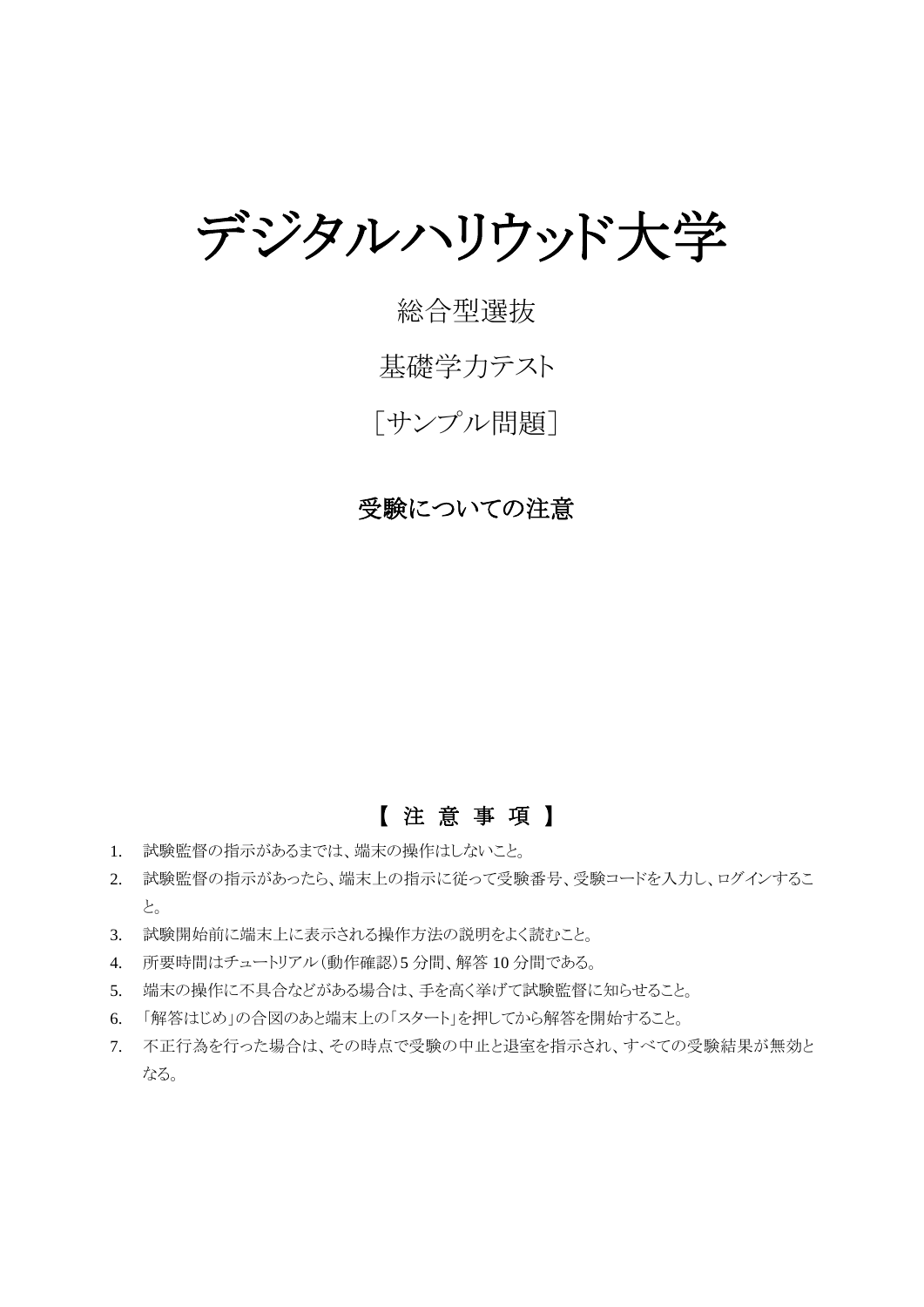デジタルハリウッド大学

# 総合型選抜

# 基礎学力テスト

[サンプル問題]

## 受験についての注意

## 【 注 意 事 項 】

- 1. 試験監督の指示があるまでは、端末の操作はしないこと。
- 2. 試験監督の指示があったら、端末上の指示に従って受験番号、受験コードを入力し、ログインするこ と。
- 3. 試験開始前に端末上に表示される操作方法の説明をよく読むこと。
- 4. 所要時間はチュートリアル(動作確認)5 分間、解答 10 分間である。
- 5. 端末の操作に不具合などがある場合は、手を高く挙げて試験監督に知らせること。
- 6. 「解答はじめ」の合図のあと端末上の「スタート」を押してから解答を開始すること。
- 7. 不正行為を行った場合は、その時点で受験の中止と退室を指示され、すべての受験結果が無効と なる。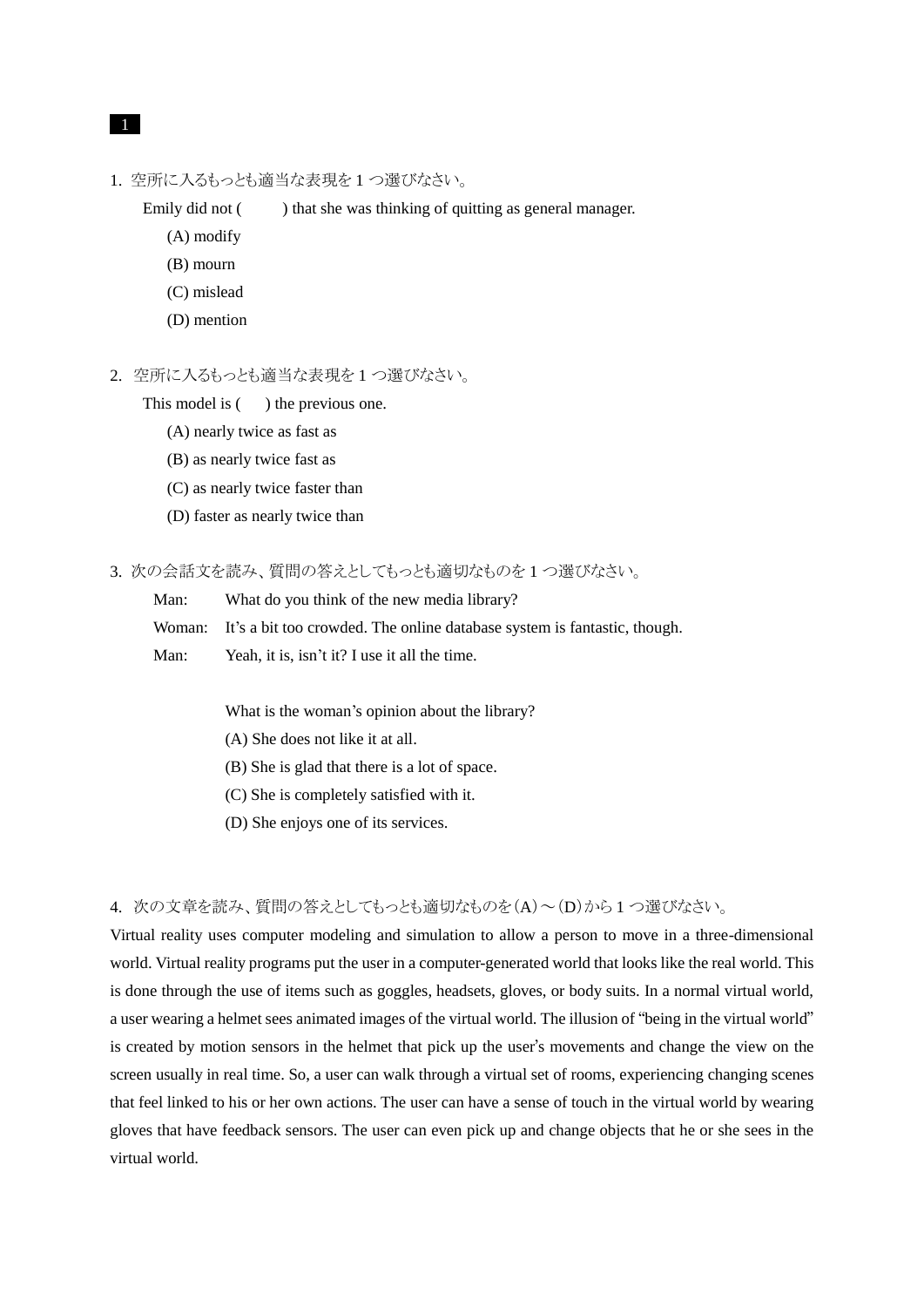#### 1

1. 空所に入るもっとも適当な表現を 1 つ選びなさい。

Emily did not () that she was thinking of quitting as general manager.

- (A) modify
- (B) mourn
- (C) mislead
- (D) mention
- 2. 空所に入るもっとも適当な表現を 1 つ選びなさい。

This model is  $($ ) the previous one.

- (A) nearly twice as fast as
- (B) as nearly twice fast as
- (C) as nearly twice faster than
- (D) faster as nearly twice than

3. 次の会話文を読み、質問の答えとしてもっとも適切なものを 1 つ選びなさい。

Man: What do you think of the new media library?

Woman: It's a bit too crowded. The online database system is fantastic, though.

Man: Yeah, it is, isn't it? I use it all the time.

What is the woman's opinion about the library?

- (A) She does not like it at all.
- (B) She is glad that there is a lot of space.
- (C) She is completely satisfied with it.
- (D) She enjoys one of its services.

#### 4. 次の文章を読み、質問の答えとしてもっとも適切なものを(A)~(D)から 1 つ選びなさい。

Virtual reality uses computer modeling and simulation to allow a person to move in a three-dimensional world. Virtual reality programs put the user in a computer-generated world that looks like the real world. This is done through the use of items such as goggles, headsets, gloves, or body suits. In a normal virtual world, a user wearing a helmet sees animated images of the virtual world. The illusion of "being in the virtual world" is created by motion sensors in the helmet that pick up the user's movements and change the view on the screen usually in real time. So, a user can walk through a virtual set of rooms, experiencing changing scenes that feel linked to his or her own actions. The user can have a sense of touch in the virtual world by wearing gloves that have feedback sensors. The user can even pick up and change objects that he or she sees in the virtual world.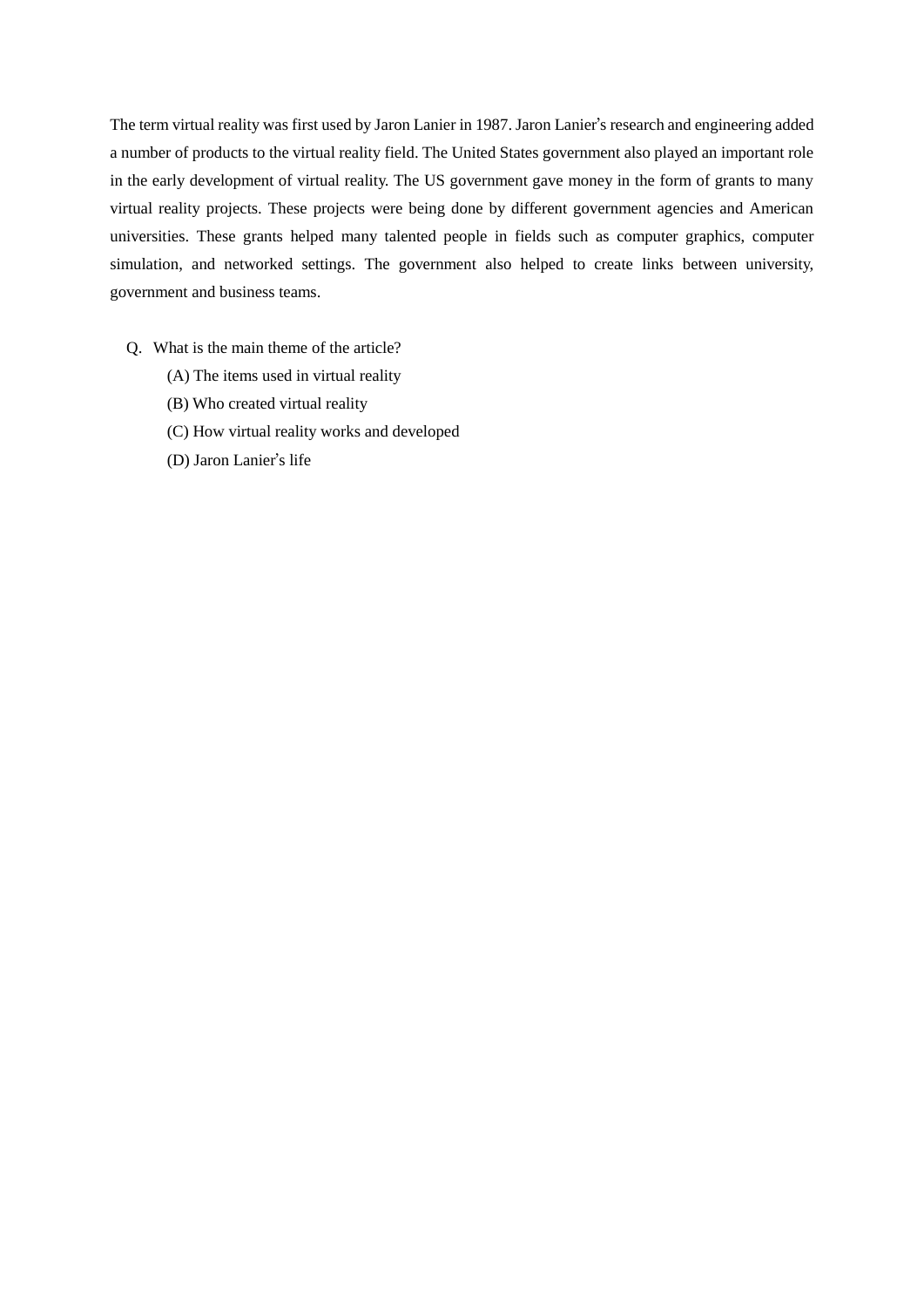The term virtual reality was first used by Jaron Lanier in 1987. Jaron Lanier's research and engineering added a number of products to the virtual reality field. The United States government also played an important role in the early development of virtual reality. The US government gave money in the form of grants to many virtual reality projects. These projects were being done by different government agencies and American universities. These grants helped many talented people in fields such as computer graphics, computer simulation, and networked settings. The government also helped to create links between university, government and business teams.

- Q. What is the main theme of the article?
	- (A) The items used in virtual reality
	- (B) Who created virtual reality
	- (C) How virtual reality works and developed
	- (D) Jaron Lanier's life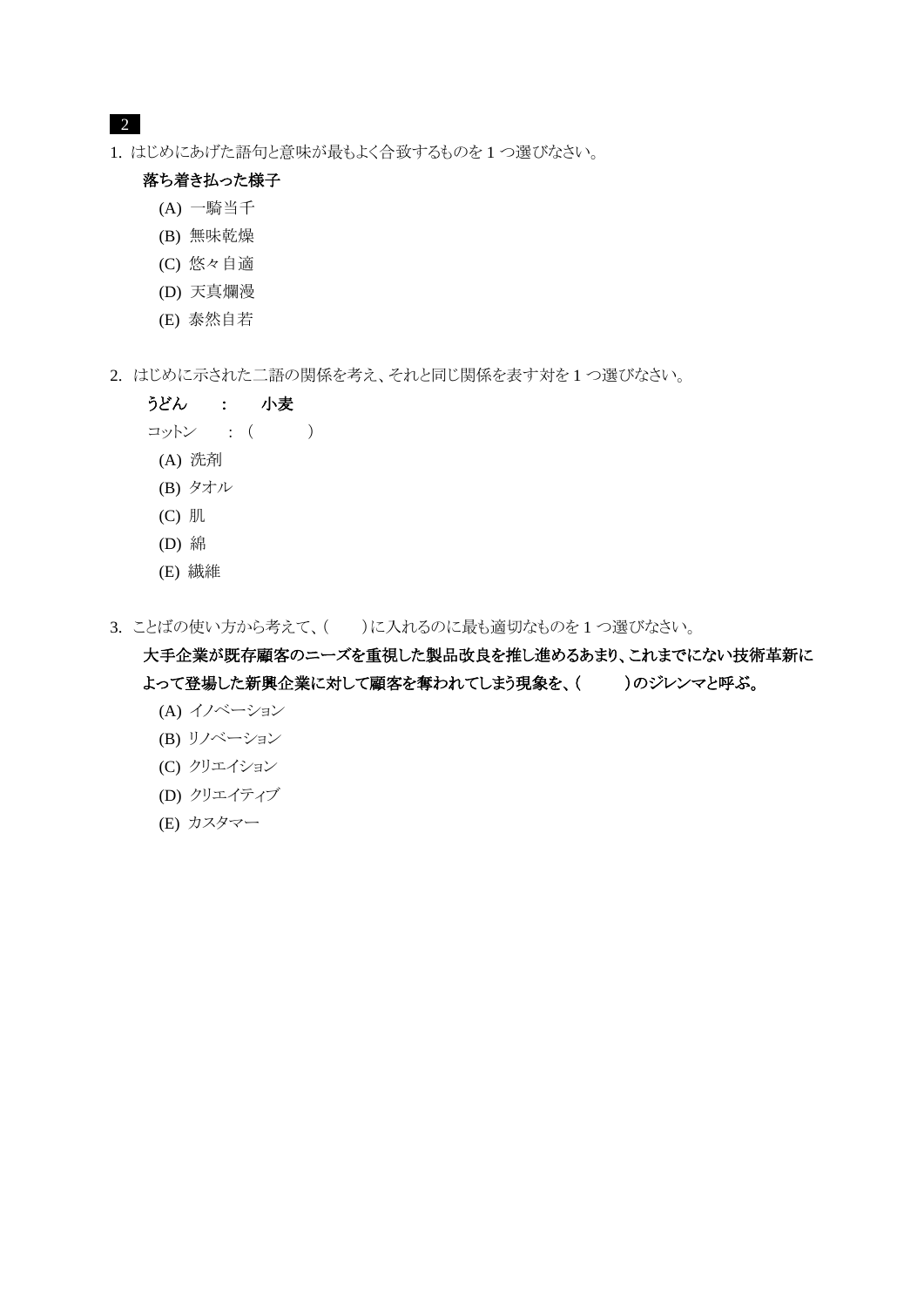### 2

1. はじめにあげた語句と意味が最もよく合致するものを 1 つ選びなさい。

### 落ち着き払った様子

- (A) 一騎当千
- (B) 無味乾燥
- (C) 悠々自適
- (D) 天真爛漫
- (E) 泰然自若
- 2. はじめに示された二語の関係を考え、それと同じ関係を表す対を 1 つ選びなさい。

### うどん : 小麦

- コットン : ( )
- (A) 洗剤
- (B) タオル
- (C) 肌
- (D) 綿
- (E) 繊維
- 3. ことばの使い方から考えて、()に入れるのに最も適切なものを1つ選びなさい。

## 大手企業が既存顧客のニーズを重視した製品改良を推し進めるあまり、これまでにない技術革新に よって登場した新興企業に対して顧客を奪われてしまう現象を、( )のジレンマと呼ぶ。

- (A) イノベーション
- (B) リノベーション
- (C) クリエイション
- (D) クリエイティブ
- (E) カスタマー